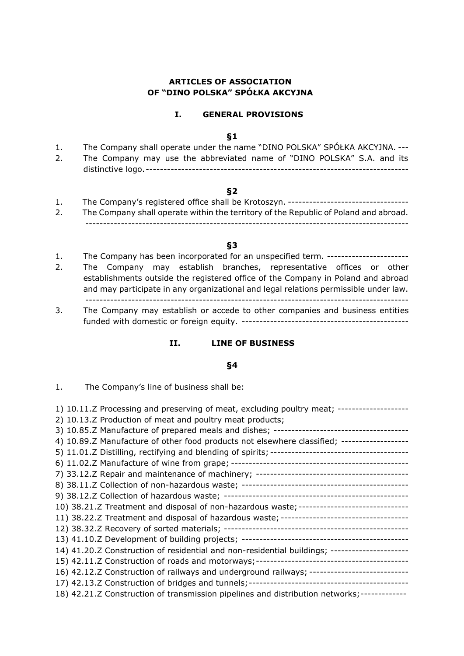# **ARTICLES OF ASSOCIATION OF "DINO POLSKA" SPÓŁKA AKCYJNA**

### **I. GENERAL PROVISIONS**

#### **§1**

| The Company shall operate under the name "DINO POLSKA" SPOŁKA AKCYJNA. --- |
|----------------------------------------------------------------------------|
| The Company may use the abbreviated name of "DINO POLSKA" S.A. and its     |
|                                                                            |

### **§2**

1. The Company's registered office shall be Krotoszyn. ---------------------------------- 2. The Company shall operate within the territory of the Republic of Poland and abroad. -------------------------------------------------------------------------------------------

## **§3**

- 1. The Company has been incorporated for an unspecified term. -----------------------
- 2. The Company may establish branches, representative offices or other establishments outside the registered office of the Company in Poland and abroad and may participate in any organizational and legal relations permissible under law. -------------------------------------------------------------------------------------------
- 3. The Company may establish or accede to other companies and business entities funded with domestic or foreign equity. -----------------------------------------------

### **II. LINE OF BUSINESS**

#### **§4**

1. The Company's line of business shall be: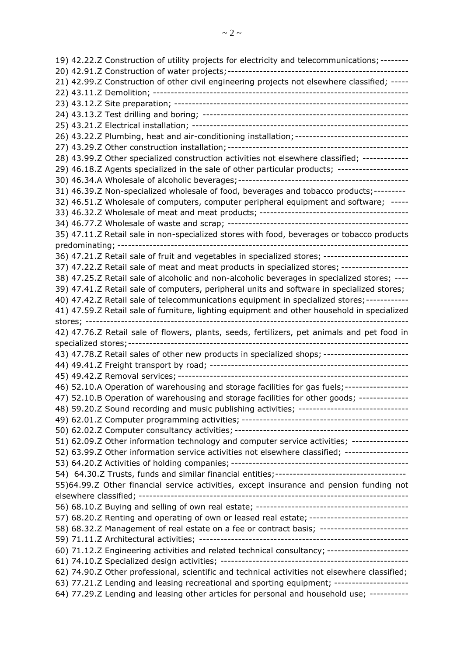19) 42.22.Z Construction of utility projects for electricity and telecommunications; -------- 20) 42.91.Z Construction of water projects;--------------------------------------------------- 21) 42.99.Z Construction of other civil engineering projects not elsewhere classified; ----- 22) 43.11.Z Demolition; ------------------------------------------------------------------------ 23) 43.12.Z Site preparation; ------------------------------------------------------------------ 24) 43.13.Z Test drilling and boring; ---------------------------------------------------------- 25) 43.21.Z Electrical installation; ------------------------------------------------------------- 26) 43.22.Z Plumbing, heat and air-conditioning installation;-------------------------------- 27) 43.29.Z Other construction installation;--------------------------------------------------- 28) 43.99.Z Other specialized construction activities not elsewhere classified; ------------- 29) 46.18.Z Agents specialized in the sale of other particular products; -------------------- 30) 46.34.A Wholesale of alcoholic beverages;------------------------------------------------ 31) 46.39.Z Non-specialized wholesale of food, beverages and tobacco products;--------- 32) 46.51.Z Wholesale of computers, computer peripheral equipment and software; ----- 33) 46.32.Z Wholesale of meat and meat products; ------------------------------------------ 34) 46.77.Z Wholesale of waste and scrap; --------------------------------------------------- 35) 47.11.Z Retail sale in non-specialized stores with food, beverages or tobacco products predominating; ---------------------------------------------------------------------------------- 36) 47.21.Z Retail sale of fruit and vegetables in specialized stores; ------------------------ 37) 47.22.Z Retail sale of meat and meat products in specialized stores; ------------------- 38) 47.25.Z Retail sale of alcoholic and non-alcoholic beverages in specialized stores; ---- 39) 47.41.Z Retail sale of computers, peripheral units and software in specialized stores; 40) 47.42.Z Retail sale of telecommunications equipment in specialized stores;------------ 41) 47.59.Z Retail sale of furniture, lighting equipment and other household in specialized stores; ------------------------------------------------------------------------------------------- 42) 47.76.Z Retail sale of flowers, plants, seeds, fertilizers, pet animals and pet food in specialized stores;------------------------------------------------------------------------------- 43) 47.78.Z Retail sales of other new products in specialized shops; ------------------------44) 49.41.Z Freight transport by road; -------------------------------------------------------- 45) 49.42.Z Removal services; ----------------------------------------------------------------- 46) 52.10.A Operation of warehousing and storage facilities for gas fuels;------------------ 47) 52.10.B Operation of warehousing and storage facilities for other goods; -------------- 48) 59.20.Z Sound recording and music publishing activities; ------------------------------- 49) 62.01.Z Computer programming activities; ----------------------------------------------- 50) 62.02.Z Computer consultancy activities; ------------------------------------------------- 51) 62.09.Z Other information technology and computer service activities; ---------------- 52) 63.99.Z Other information service activities not elsewhere classified; ------------------ 53) 64.20.Z Activities of holding companies; -------------------------------------------------- 54) 64.30.Z Trusts, funds and similar financial entities;------------------------------------- 55)64.99.Z Other financial service activities, except insurance and pension funding not elsewhere classified; ---------------------------------------------------------------------------- 56) 68.10.Z Buying and selling of own real estate; ------------------------------------------- 57) 68.20.Z Renting and operating of own or leased real estate; ---------------------------- 58) 68.32.Z Management of real estate on a fee or contract basis; ------------------------- 59) 71.11.Z Architectural activities; ----------------------------------------------------------- 60) 71.12.Z Engineering activities and related technical consultancy; ----------------------- 61) 74.10.Z Specialized design activities; ----------------------------------------------------- 62) 74.90.Z Other professional, scientific and technical activities not elsewhere classified; 63) 77.21.Z Lending and leasing recreational and sporting equipment; ---------------------

64) 77.29.Z Lending and leasing other articles for personal and household use; -----------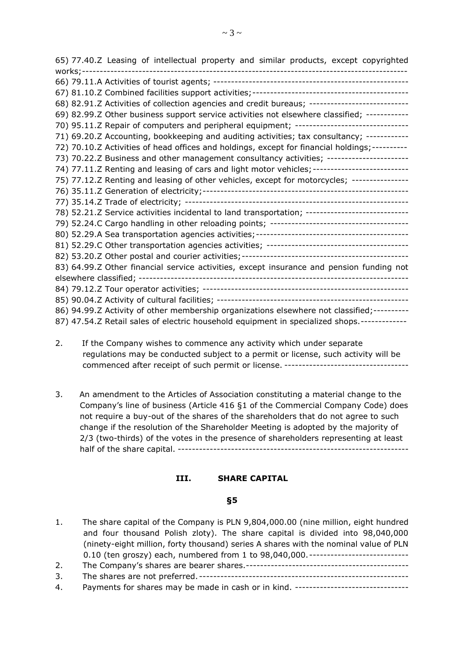65) 77.40.Z Leasing of intellectual property and similar products, except copyrighted works;-------------------------------------------------------------------------------------------- 66) 79.11.A Activities of tourist agents; ------------------------------------------------------- 67) 81.10.Z Combined facilities support activities;-------------------------------------------- 68) 82.91.Z Activities of collection agencies and credit bureaus; ---------------------------- 69) 82.99.Z Other business support service activities not elsewhere classified; ------------ 70) 95.11.2 Repair of computers and peripheral equipment; -----------------------------------71) 69.20.Z Accounting, bookkeeping and auditing activities; tax consultancy; ------------ 72) 70.10.Z Activities of head offices and holdings, except for financial holdings;---------- 73) 70.22.Z Business and other management consultancy activities; ----------------------- 74) 77.11.2 Renting and leasing of cars and light motor vehicles; ----------------------------75) 77.12.Z Renting and leasing of other vehicles, except for motorcycles; ---------------- 76) 35.11.Z Generation of electricity;---------------------------------------------------------- 77) 35.14.Z Trade of electricity; --------------------------------------------------------------- 78) 52.21.Z Service activities incidental to land transportation; -----------------------------79) 52.24.C Cargo handling in other reloading points; --------------------------------------- 80) 52.29.A Sea transportation agencies activities;------------------------------------------- 81) 52.29.C Other transportation agencies activities; ---------------------------------------- 82) 53.20.Z Other postal and courier activities;----------------------------------------------- 83) 64.99.Z Other financial service activities, except insurance and pension funding not elsewhere classified; ---------------------------------------------------------------------------- 84) 79.12.Z Tour operator activities; ---------------------------------------------------------- 85) 90.04.Z Activity of cultural facilities; ------------------------------------------------------ 86) 94.99.Z Activity of other membership organizations elsewhere not classified;----------87) 47.54.Z Retail sales of electric household equipment in specialized shops.-------------

- 2. If the Company wishes to commence any activity which under separate regulations may be conducted subject to a permit or license, such activity will be commenced after receipt of such permit or license. -----------------------------------
- 3. An amendment to the Articles of Association constituting a material change to the Company's line of business (Article 416 §1 of the Commercial Company Code) does not require a buy-out of the shares of the shareholders that do not agree to such change if the resolution of the Shareholder Meeting is adopted by the majority of 2/3 (two-thirds) of the votes in the presence of shareholders representing at least half of the share capital. -----------------------------------------------------------------

### **III. SHARE CAPITAL**

### **§5**

1. The share capital of the Company is PLN 9,804,000.00 (nine million, eight hundred and four thousand Polish zloty). The share capital is divided into 98,040,000 (ninety-eight million, forty thousand) series A shares with the nominal value of PLN 0.10 (ten groszy) each, numbered from 1 to 98,040,000. ---------------------------2. The Company's shares are bearer shares.---------------------------------------------- 3. The shares are not preferred. ----------------------------------------------------------- 4. Payments for shares may be made in cash or in kind. --------------------------------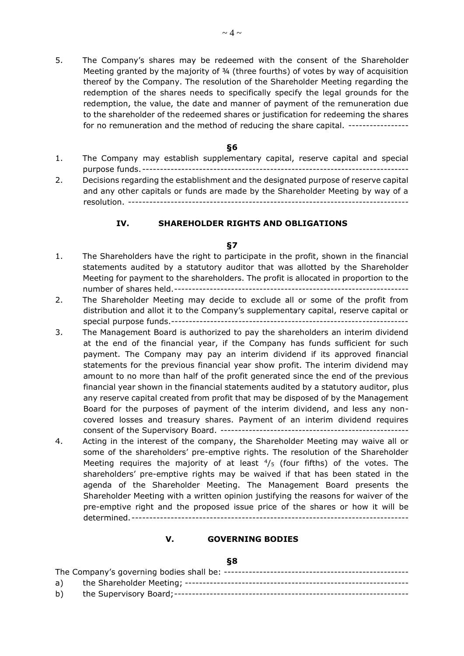5. The Company's shares may be redeemed with the consent of the Shareholder Meeting granted by the majority of ¾ (three fourths) of votes by way of acquisition thereof by the Company. The resolution of the Shareholder Meeting regarding the redemption of the shares needs to specifically specify the legal grounds for the redemption, the value, the date and manner of payment of the remuneration due to the shareholder of the redeemed shares or justification for redeeming the shares for no remuneration and the method of reducing the share capital. ----------------

#### **§6**

- 1. The Company may establish supplementary capital, reserve capital and special purpose funds. ---------------------------------------------------------------------------
- 2. Decisions regarding the establishment and the designated purpose of reserve capital and any other capitals or funds are made by the Shareholder Meeting by way of a resolution. -------------------------------------------------------------------------------

### **IV. SHAREHOLDER RIGHTS AND OBLIGATIONS**

#### **§7**

- 1. The Shareholders have the right to participate in the profit, shown in the financial statements audited by a statutory auditor that was allotted by the Shareholder Meeting for payment to the shareholders. The profit is allocated in proportion to the number of shares held.------------------------------------------------------------------
- 2. The Shareholder Meeting may decide to exclude all or some of the profit from distribution and allot it to the Company's supplementary capital, reserve capital or special purpose funds.-------------------------------------------------------------------
- 3. The Management Board is authorized to pay the shareholders an interim dividend at the end of the financial year, if the Company has funds sufficient for such payment. The Company may pay an interim dividend if its approved financial statements for the previous financial year show profit. The interim dividend may amount to no more than half of the profit generated since the end of the previous financial year shown in the financial statements audited by a statutory auditor, plus any reserve capital created from profit that may be disposed of by the Management Board for the purposes of payment of the interim dividend, and less any noncovered losses and treasury shares. Payment of an interim dividend requires consent of the Supervisory Board. -----------------------------------------------------
- 4. Acting in the interest of the company, the Shareholder Meeting may waive all or some of the shareholders' pre-emptive rights. The resolution of the Shareholder Meeting requires the majority of at least  $\frac{4}{5}$  (four fifths) of the votes. The shareholders' pre-emptive rights may be waived if that has been stated in the agenda of the Shareholder Meeting. The Management Board presents the Shareholder Meeting with a written opinion justifying the reasons for waiver of the pre-emptive right and the proposed issue price of the shares or how it will be determined.------------------------------------------------------------------------------

### **V. GOVERNING BODIES**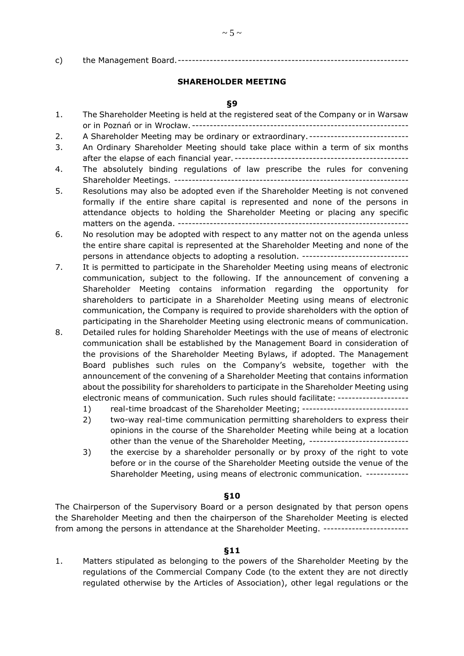c) the Management Board.-----------------------------------------------------------------

# **SHAREHOLDER MEETING**

## **§9**

| 1. | The Shareholder Meeting is held at the registered seat of the Company or in Warsaw                                  |
|----|---------------------------------------------------------------------------------------------------------------------|
|    |                                                                                                                     |
| 2. | A Shareholder Meeting may be ordinary or extraordinary. ----------------------------                                |
| 3. | An Ordinary Shareholder Meeting should take place within a term of six months                                       |
|    |                                                                                                                     |
| 4. | The absolutely binding regulations of law prescribe the rules for convening                                         |
|    |                                                                                                                     |
| 5. | Resolutions may also be adopted even if the Shareholder Meeting is not convened                                     |
|    | formally if the entire share capital is represented and none of the persons in                                      |
|    | attendance objects to holding the Shareholder Meeting or placing any specific                                       |
|    |                                                                                                                     |
| 6. | No resolution may be adopted with respect to any matter not on the agenda unless                                    |
|    | the entire share capital is represented at the Shareholder Meeting and none of the                                  |
|    | persons in attendance objects to adopting a resolution. -----------------------------                               |
| 7. | It is permitted to participate in the Shareholder Meeting using means of electronic                                 |
|    | communication, subject to the following. If the announcement of convening a                                         |
|    | Shareholder Meeting contains information regarding the opportunity for                                              |
|    | shareholders to participate in a Shareholder Meeting using means of electronic                                      |
|    | communication, the Company is required to provide shareholders with the option of                                   |
|    | participating in the Shareholder Meeting using electronic means of communication.                                   |
| 8. | Detailed rules for holding Shareholder Meetings with the use of means of electronic                                 |
|    | communication shall be established by the Management Board in consideration of                                      |
|    | the provisions of the Shareholder Meeting Bylaws, if adopted. The Management                                        |
|    | Board publishes such rules on the Company's website, together with the                                              |
|    | announcement of the convening of a Shareholder Meeting that contains information                                    |
|    | about the possibility for shareholders to participate in the Shareholder Meeting using                              |
|    | electronic means of communication. Such rules should facilitate: --------------------                               |
|    | real-time broadcast of the Shareholder Meeting; -------------------------------<br>1)                               |
|    | two-way real-time communication permitting shareholders to express their<br>2)                                      |
|    | opinions in the course of the Shareholder Meeting while being at a location                                         |
|    | other than the venue of the Shareholder Meeting, ----------------------------                                       |
|    | ويقودون ويقاطعا والمناوي والمناقص والمتحدد والمتحدث والمتحال والمتحاول والمتحدث والمستحلف المستحل والمتحدث والمتحدث |

3) the exercise by a shareholder personally or by proxy of the right to vote before or in the course of the Shareholder Meeting outside the venue of the Shareholder Meeting, using means of electronic communication. ------------

### **§10**

The Chairperson of the Supervisory Board or a person designated by that person opens the Shareholder Meeting and then the chairperson of the Shareholder Meeting is elected from among the persons in attendance at the Shareholder Meeting. -----------------------

# **§11**

1. Matters stipulated as belonging to the powers of the Shareholder Meeting by the regulations of the Commercial Company Code (to the extent they are not directly regulated otherwise by the Articles of Association), other legal regulations or the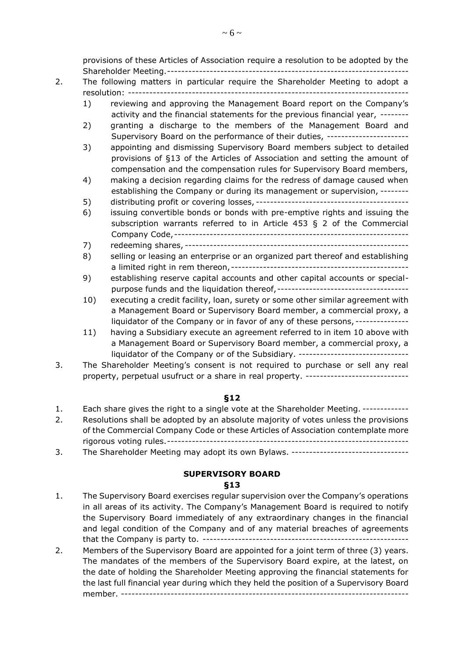provisions of these Articles of Association require a resolution to be adopted by the Shareholder Meeting.--------------------------------------------------------------------

# 2. The following matters in particular require the Shareholder Meeting to adopt a resolution: -------------------------------------------------------------------------------

- 1) reviewing and approving the Management Board report on the Company's activity and the financial statements for the previous financial year, --------
- 2) granting a discharge to the members of the Management Board and Supervisory Board on the performance of their duties, -----------------------
- 3) appointing and dismissing Supervisory Board members subject to detailed provisions of §13 of the Articles of Association and setting the amount of compensation and the compensation rules for Supervisory Board members,
- 4) making a decision regarding claims for the redress of damage caused when establishing the Company or during its management or supervision, --------
- 5) distributing profit or covering losses, -------------------------------------------
- 6) issuing convertible bonds or bonds with pre-emptive rights and issuing the subscription warrants referred to in Article 453 § 2 of the Commercial Company Code,------------------------------------------------------------------
- 7) redeeming shares, ---------------------------------------------------------------
- 8) selling or leasing an enterprise or an organized part thereof and establishing a limited right in rem thereon,--------------------------------------------------
- 9) establishing reserve capital accounts and other capital accounts or specialpurpose funds and the liquidation thereof,-------------------------------------
- 10) executing a credit facility, loan, surety or some other similar agreement with a Management Board or Supervisory Board member, a commercial proxy, a liquidator of the Company or in favor of any of these persons, ---------------
- 11) having a Subsidiary execute an agreement referred to in item 10 above with a Management Board or Supervisory Board member, a commercial proxy, a liquidator of the Company or of the Subsidiary. --------------------------------
- 3. The Shareholder Meeting's consent is not required to purchase or sell any real property, perpetual usufruct or a share in real property. ----------------------------

# **§12**

- 1. Each share gives the right to a single vote at the Shareholder Meeting. -------------
- 2. Resolutions shall be adopted by an absolute majority of votes unless the provisions of the Commercial Company Code or these Articles of Association contemplate more rigorous voting rules.--------------------------------------------------------------------
- 3. The Shareholder Meeting may adopt its own Bylaws. ---------------------------------

# **SUPERVISORY BOARD**

- 1. The Supervisory Board exercises regular supervision over the Company's operations in all areas of its activity. The Company's Management Board is required to notify the Supervisory Board immediately of any extraordinary changes in the financial and legal condition of the Company and of any material breaches of agreements that the Company is party to. ----------------------------------------------------------
- 2. Members of the Supervisory Board are appointed for a joint term of three (3) years. The mandates of the members of the Supervisory Board expire, at the latest, on the date of holding the Shareholder Meeting approving the financial statements for the last full financial year during which they held the position of a Supervisory Board member. ---------------------------------------------------------------------------------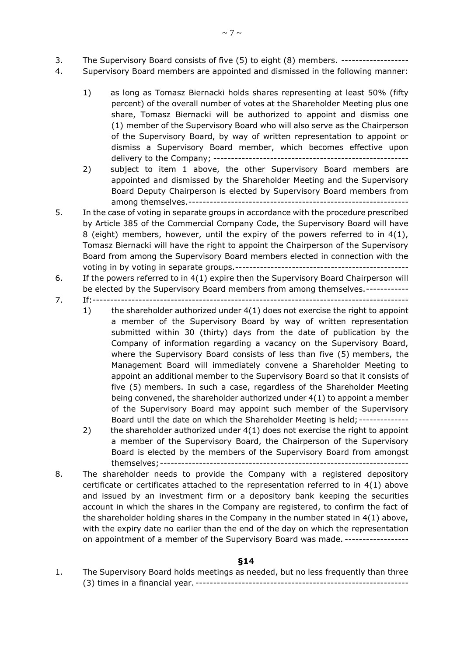- 3. The Supervisory Board consists of five (5) to eight (8) members. -------------------
- 4. Supervisory Board members are appointed and dismissed in the following manner:
	- 1) as long as Tomasz Biernacki holds shares representing at least 50% (fifty percent) of the overall number of votes at the Shareholder Meeting plus one share, Tomasz Biernacki will be authorized to appoint and dismiss one (1) member of the Supervisory Board who will also serve as the Chairperson of the Supervisory Board, by way of written representation to appoint or dismiss a Supervisory Board member, which becomes effective upon delivery to the Company; -------------------------------------------------------
	- 2) subject to item 1 above, the other Supervisory Board members are appointed and dismissed by the Shareholder Meeting and the Supervisory Board Deputy Chairperson is elected by Supervisory Board members from among themselves.--------------------------------------------------------------
- 5. In the case of voting in separate groups in accordance with the procedure prescribed by Article 385 of the Commercial Company Code, the Supervisory Board will have 8 (eight) members, however, until the expiry of the powers referred to in 4(1), Tomasz Biernacki will have the right to appoint the Chairperson of the Supervisory Board from among the Supervisory Board members elected in connection with the voting in by voting in separate groups.-------------------------------------------------
- 6. If the powers referred to in 4(1) expire then the Supervisory Board Chairperson will be elected by the Supervisory Board members from among themselves.------------
- 7. If:-----------------------------------------------------------------------------------------
	- 1) the shareholder authorized under 4(1) does not exercise the right to appoint a member of the Supervisory Board by way of written representation submitted within 30 (thirty) days from the date of publication by the Company of information regarding a vacancy on the Supervisory Board, where the Supervisory Board consists of less than five (5) members, the Management Board will immediately convene a Shareholder Meeting to appoint an additional member to the Supervisory Board so that it consists of five (5) members. In such a case, regardless of the Shareholder Meeting being convened, the shareholder authorized under 4(1) to appoint a member of the Supervisory Board may appoint such member of the Supervisory Board until the date on which the Shareholder Meeting is held; --------------
	- 2) the shareholder authorized under 4(1) does not exercise the right to appoint a member of the Supervisory Board, the Chairperson of the Supervisory Board is elected by the members of the Supervisory Board from amongst themselves;----------------------------------------------------------------------
- 8. The shareholder needs to provide the Company with a registered depository certificate or certificates attached to the representation referred to in 4(1) above and issued by an investment firm or a depository bank keeping the securities account in which the shares in the Company are registered, to confirm the fact of the shareholder holding shares in the Company in the number stated in 4(1) above, with the expiry date no earlier than the end of the day on which the representation on appointment of a member of the Supervisory Board was made. ------------------

# **§14**

1. The Supervisory Board holds meetings as needed, but no less frequently than three (3) times in a financial year. ------------------------------------------------------------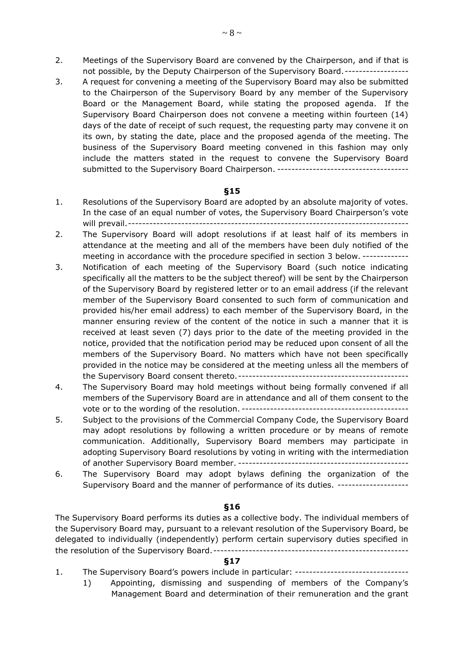- 2. Meetings of the Supervisory Board are convened by the Chairperson, and if that is not possible, by the Deputy Chairperson of the Supervisory Board.------------------
- 3. A request for convening a meeting of the Supervisory Board may also be submitted to the Chairperson of the Supervisory Board by any member of the Supervisory Board or the Management Board, while stating the proposed agenda. If the Supervisory Board Chairperson does not convene a meeting within fourteen (14) days of the date of receipt of such request, the requesting party may convene it on its own, by stating the date, place and the proposed agenda of the meeting. The business of the Supervisory Board meeting convened in this fashion may only include the matters stated in the request to convene the Supervisory Board submitted to the Supervisory Board Chairperson. -------------------------------------

### **§15**

- 1. Resolutions of the Supervisory Board are adopted by an absolute majority of votes. In the case of an equal number of votes, the Supervisory Board Chairperson's vote will prevail.-------------------------------------------------------------------------------
- 2. The Supervisory Board will adopt resolutions if at least half of its members in attendance at the meeting and all of the members have been duly notified of the meeting in accordance with the procedure specified in section 3 below. -------------
- 3. Notification of each meeting of the Supervisory Board (such notice indicating specifically all the matters to be the subject thereof) will be sent by the Chairperson of the Supervisory Board by registered letter or to an email address (if the relevant member of the Supervisory Board consented to such form of communication and provided his/her email address) to each member of the Supervisory Board, in the manner ensuring review of the content of the notice in such a manner that it is received at least seven (7) days prior to the date of the meeting provided in the notice, provided that the notification period may be reduced upon consent of all the members of the Supervisory Board. No matters which have not been specifically provided in the notice may be considered at the meeting unless all the members of the Supervisory Board consent thereto.------------------------------------------------
- 4. The Supervisory Board may hold meetings without being formally convened if all members of the Supervisory Board are in attendance and all of them consent to the vote or to the wording of the resolution. -----------------------------------------------
- 5. Subject to the provisions of the Commercial Company Code, the Supervisory Board may adopt resolutions by following a written procedure or by means of remote communication. Additionally, Supervisory Board members may participate in adopting Supervisory Board resolutions by voting in writing with the intermediation of another Supervisory Board member. ------------------------------------------------
- 6. The Supervisory Board may adopt bylaws defining the organization of the Supervisory Board and the manner of performance of its duties. --------------------

### **§16**

The Supervisory Board performs its duties as a collective body. The individual members of the Supervisory Board may, pursuant to a relevant resolution of the Supervisory Board, be delegated to individually (independently) perform certain supervisory duties specified in the resolution of the Supervisory Board.-------------------------------------------------------

- 1. The Supervisory Board's powers include in particular: --------------------------------
	- 1) Appointing, dismissing and suspending of members of the Company's Management Board and determination of their remuneration and the grant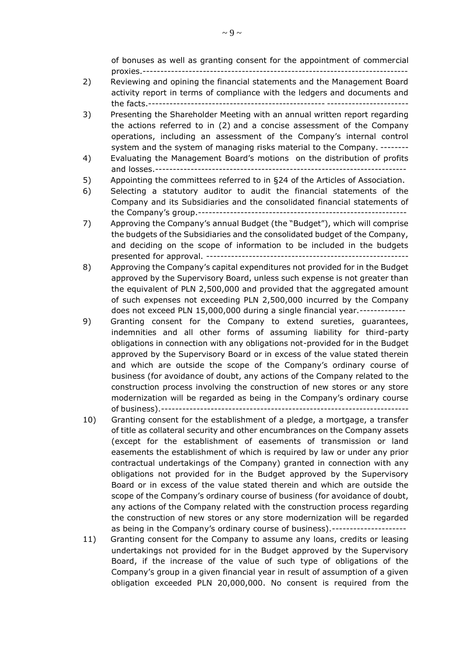of bonuses as well as granting consent for the appointment of commercial proxies.---------------------------------------------------------------------------

- 2) Reviewing and opining the financial statements and the Management Board activity report in terms of compliance with the ledgers and documents and the facts.-------------------------------------------------- -----------------------
- 3) Presenting the Shareholder Meeting with an annual written report regarding the actions referred to in (2) and a concise assessment of the Company operations, including an assessment of the Company's internal control system and the system of managing risks material to the Company. --------
- 4) Evaluating the Management Board's motions on the distribution of profits and losses.-----------------------------------------------------------------------
- 5) Appointing the committees referred to in §24 of the Articles of Association.
- 6) Selecting a statutory auditor to audit the financial statements of the Company and its Subsidiaries and the consolidated financial statements of the Company's group.-----------------------------------------------------------
- 7) Approving the Company's annual Budget (the "Budget"), which will comprise the budgets of the Subsidiaries and the consolidated budget of the Company, and deciding on the scope of information to be included in the budgets presented for approval. ---------------------------------------------------------
- 8) Approving the Company's capital expenditures not provided for in the Budget approved by the Supervisory Board, unless such expense is not greater than the equivalent of PLN 2,500,000 and provided that the aggregated amount of such expenses not exceeding PLN 2,500,000 incurred by the Company does not exceed PLN 15,000,000 during a single financial year.-------------
- 9) Granting consent for the Company to extend sureties, guarantees, indemnities and all other forms of assuming liability for third-party obligations in connection with any obligations not-provided for in the Budget approved by the Supervisory Board or in excess of the value stated therein and which are outside the scope of the Company's ordinary course of business (for avoidance of doubt, any actions of the Company related to the construction process involving the construction of new stores or any store modernization will be regarded as being in the Company's ordinary course of business).----------------------------------------------------------------------
- 10) Granting consent for the establishment of a pledge, a mortgage, a transfer of title as collateral security and other encumbrances on the Company assets (except for the establishment of easements of transmission or land easements the establishment of which is required by law or under any prior contractual undertakings of the Company) granted in connection with any obligations not provided for in the Budget approved by the Supervisory Board or in excess of the value stated therein and which are outside the scope of the Company's ordinary course of business (for avoidance of doubt, any actions of the Company related with the construction process regarding the construction of new stores or any store modernization will be regarded as being in the Company's ordinary course of business).---------------------
- 11) Granting consent for the Company to assume any loans, credits or leasing undertakings not provided for in the Budget approved by the Supervisory Board, if the increase of the value of such type of obligations of the Company's group in a given financial year in result of assumption of a given obligation exceeded PLN 20,000,000. No consent is required from the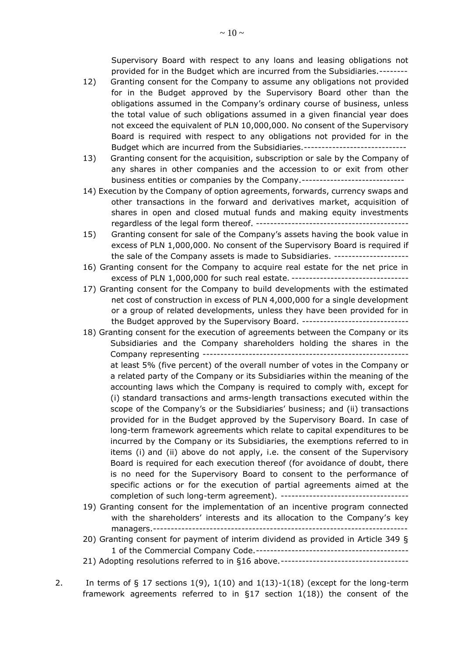Supervisory Board with respect to any loans and leasing obligations not provided for in the Budget which are incurred from the Subsidiaries.--------

- 12) Granting consent for the Company to assume any obligations not provided for in the Budget approved by the Supervisory Board other than the obligations assumed in the Company's ordinary course of business, unless the total value of such obligations assumed in a given financial year does not exceed the equivalent of PLN 10,000,000. No consent of the Supervisory Board is required with respect to any obligations not provided for in the Budget which are incurred from the Subsidiaries.-------------------------------
- 13) Granting consent for the acquisition, subscription or sale by the Company of any shares in other companies and the accession to or exit from other business entities or companies by the Company.-----------------------------
- 14) Execution by the Company of option agreements, forwards, currency swaps and other transactions in the forward and derivatives market, acquisition of shares in open and closed mutual funds and making equity investments regardless of the legal form thereof. -------------------------------------------
- 15) Granting consent for sale of the Company's assets having the book value in excess of PLN 1,000,000. No consent of the Supervisory Board is required if the sale of the Company assets is made to Subsidiaries. ---------------------
- 16) Granting consent for the Company to acquire real estate for the net price in excess of PLN 1,000,000 for such real estate. ----------------------------------
- 17) Granting consent for the Company to build developments with the estimated net cost of construction in excess of PLN 4,000,000 for a single development or a group of related developments, unless they have been provided for in the Budget approved by the Supervisory Board. ------------------------------
- 18) Granting consent for the execution of agreements between the Company or its Subsidiaries and the Company shareholders holding the shares in the Company representing --------------------------------------------------------- at least 5% (five percent) of the overall number of votes in the Company or a related party of the Company or its Subsidiaries within the meaning of the accounting laws which the Company is required to comply with, except for (i) standard transactions and arms-length transactions executed within the scope of the Company's or the Subsidiaries' business; and (ii) transactions provided for in the Budget approved by the Supervisory Board. In case of long-term framework agreements which relate to capital expenditures to be incurred by the Company or its Subsidiaries, the exemptions referred to in items (i) and (ii) above do not apply, i.e. the consent of the Supervisory Board is required for each execution thereof (for avoidance of doubt, there is no need for the Supervisory Board to consent to the performance of specific actions or for the execution of partial agreements aimed at the completion of such long-term agreement). ------------------------------------
- 19) Granting consent for the implementation of an incentive program connected with the shareholders' interests and its allocation to the Company's key managers.------------------------------------------------------------------------
- 20) Granting consent for payment of interim dividend as provided in Article 349 § 1 of the Commercial Company Code.-------------------------------------------
- 21) Adopting resolutions referred to in §16 above.------------------------------------
- 2. In terms of  $\S 17$  sections  $1(9)$ ,  $1(10)$  and  $1(13)-1(18)$  (except for the long-term framework agreements referred to in  $\S17$  section  $1(18)$ ) the consent of the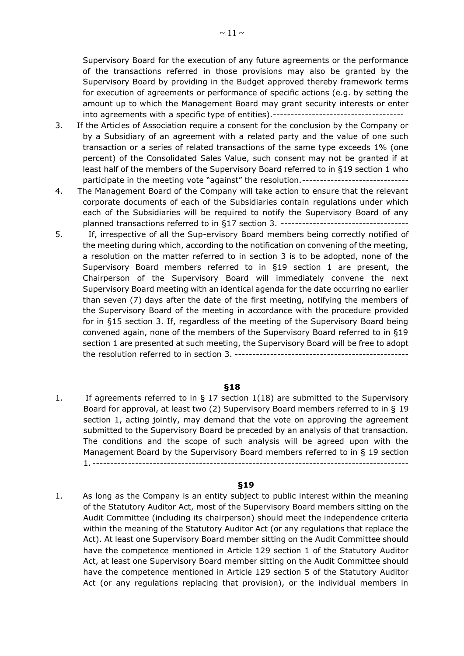Supervisory Board for the execution of any future agreements or the performance of the transactions referred in those provisions may also be granted by the Supervisory Board by providing in the Budget approved thereby framework terms for execution of agreements or performance of specific actions (e.g. by setting the amount up to which the Management Board may grant security interests or enter into agreements with a specific type of entities).-------------------------------------

- 3. If the Articles of Association require a consent for the conclusion by the Company or by a Subsidiary of an agreement with a related party and the value of one such transaction or a series of related transactions of the same type exceeds 1% (one percent) of the Consolidated Sales Value, such consent may not be granted if at least half of the members of the Supervisory Board referred to in §19 section 1 who participate in the meeting vote "against" the resolution.------------------------------
- 4. The Management Board of the Company will take action to ensure that the relevant corporate documents of each of the Subsidiaries contain regulations under which each of the Subsidiaries will be required to notify the Supervisory Board of any planned transactions referred to in §17 section 3. ------------------------------------
- 5. If, irrespective of all the Sup-ervisory Board members being correctly notified of the meeting during which, according to the notification on convening of the meeting, a resolution on the matter referred to in section 3 is to be adopted, none of the Supervisory Board members referred to in §19 section 1 are present, the Chairperson of the Supervisory Board will immediately convene the next Supervisory Board meeting with an identical agenda for the date occurring no earlier than seven (7) days after the date of the first meeting, notifying the members of the Supervisory Board of the meeting in accordance with the procedure provided for in §15 section 3. If, regardless of the meeting of the Supervisory Board being convened again, none of the members of the Supervisory Board referred to in §19 section 1 are presented at such meeting, the Supervisory Board will be free to adopt the resolution referred to in section 3. -------------------------------------------------

### **§18**

1. If agreements referred to in § 17 section 1(18) are submitted to the Supervisory Board for approval, at least two (2) Supervisory Board members referred to in § 19 section 1, acting jointly, may demand that the vote on approving the agreement submitted to the Supervisory Board be preceded by an analysis of that transaction. The conditions and the scope of such analysis will be agreed upon with the Management Board by the Supervisory Board members referred to in § 19 section 1. -----------------------------------------------------------------------------------------

### **§19**

1. As long as the Company is an entity subject to public interest within the meaning of the Statutory Auditor Act, most of the Supervisory Board members sitting on the Audit Committee (including its chairperson) should meet the independence criteria within the meaning of the Statutory Auditor Act (or any regulations that replace the Act). At least one Supervisory Board member sitting on the Audit Committee should have the competence mentioned in Article 129 section 1 of the Statutory Auditor Act, at least one Supervisory Board member sitting on the Audit Committee should have the competence mentioned in Article 129 section 5 of the Statutory Auditor Act (or any regulations replacing that provision), or the individual members in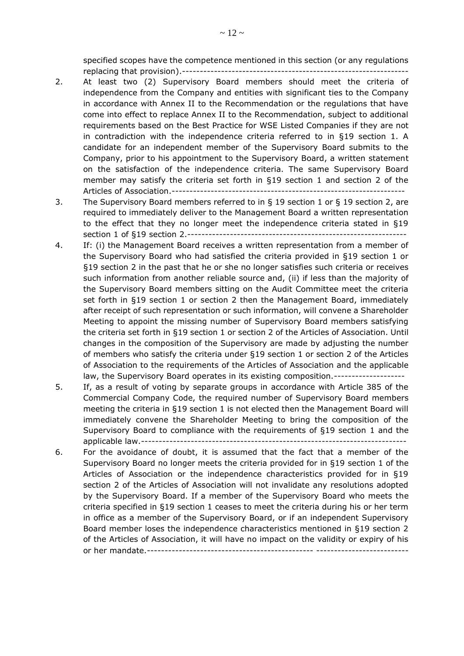specified scopes have the competence mentioned in this section (or any regulations replacing that provision).----------------------------------------------------------------

- 2. At least two (2) Supervisory Board members should meet the criteria of independence from the Company and entities with significant ties to the Company in accordance with Annex II to the Recommendation or the regulations that have come into effect to replace Annex II to the Recommendation, subject to additional requirements based on the Best Practice for WSE Listed Companies if they are not in contradiction with the independence criteria referred to in §19 section 1. A candidate for an independent member of the Supervisory Board submits to the Company, prior to his appointment to the Supervisory Board, a written statement on the satisfaction of the independence criteria. The same Supervisory Board member may satisfy the criteria set forth in §19 section 1 and section 2 of the Articles of Association.------------------------------------------------------------------
- 3. The Supervisory Board members referred to in § 19 section 1 or § 19 section 2, are required to immediately deliver to the Management Board a written representation to the effect that they no longer meet the independence criteria stated in §19 section 1 of §19 section 2.--------------------------------------------------------------
- 4. If: (i) the Management Board receives a written representation from a member of the Supervisory Board who had satisfied the criteria provided in §19 section 1 or §19 section 2 in the past that he or she no longer satisfies such criteria or receives such information from another reliable source and, (ii) if less than the majority of the Supervisory Board members sitting on the Audit Committee meet the criteria set forth in §19 section 1 or section 2 then the Management Board, immediately after receipt of such representation or such information, will convene a Shareholder Meeting to appoint the missing number of Supervisory Board members satisfying the criteria set forth in §19 section 1 or section 2 of the Articles of Association. Until changes in the composition of the Supervisory are made by adjusting the number of members who satisfy the criteria under §19 section 1 or section 2 of the Articles of Association to the requirements of the Articles of Association and the applicable law, the Supervisory Board operates in its existing composition.--------------------
- 5. If, as a result of voting by separate groups in accordance with Article 385 of the Commercial Company Code, the required number of Supervisory Board members meeting the criteria in §19 section 1 is not elected then the Management Board will immediately convene the Shareholder Meeting to bring the composition of the Supervisory Board to compliance with the requirements of §19 section 1 and the applicable law.---------------------------------------------------------------------------
- 6. For the avoidance of doubt, it is assumed that the fact that a member of the Supervisory Board no longer meets the criteria provided for in §19 section 1 of the Articles of Association or the independence characteristics provided for in §19 section 2 of the Articles of Association will not invalidate any resolutions adopted by the Supervisory Board. If a member of the Supervisory Board who meets the criteria specified in §19 section 1 ceases to meet the criteria during his or her term in office as a member of the Supervisory Board, or if an independent Supervisory Board member loses the independence characteristics mentioned in §19 section 2 of the Articles of Association, it will have no impact on the validity or expiry of his or her mandate.----------------------------------------------- --------------------------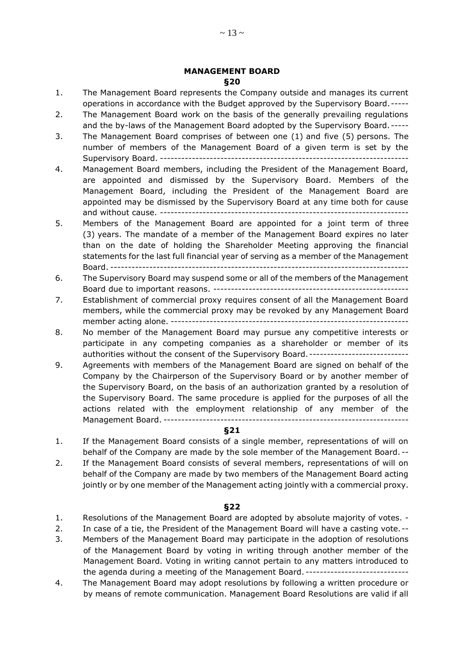### **MANAGEMENT BOARD §20**

- 1. The Management Board represents the Company outside and manages its current operations in accordance with the Budget approved by the Supervisory Board.-----
- 2. The Management Board work on the basis of the generally prevailing regulations and the by-laws of the Management Board adopted by the Supervisory Board. -----
- 3. The Management Board comprises of between one (1) and five (5) persons. The number of members of the Management Board of a given term is set by the Supervisory Board. ----------------------------------------------------------------------
- 4. Management Board members, including the President of the Management Board, are appointed and dismissed by the Supervisory Board. Members of the Management Board, including the President of the Management Board are appointed may be dismissed by the Supervisory Board at any time both for cause and without cause. ----------------------------------------------------------------------
- 5. Members of the Management Board are appointed for a joint term of three (3) years. The mandate of a member of the Management Board expires no later than on the date of holding the Shareholder Meeting approving the financial statements for the last full financial year of serving as a member of the Management Board. ------------------------------------------------------------------------------------
- 6. The Supervisory Board may suspend some or all of the members of the Management Board due to important reasons. -------------------------------------------------------
- 7. Establishment of commercial proxy requires consent of all the Management Board members, while the commercial proxy may be revoked by any Management Board member acting alone. -------------------------------------------------------------------
- 8. No member of the Management Board may pursue any competitive interests or participate in any competing companies as a shareholder or member of its authorities without the consent of the Supervisory Board. ----------------------------
- 9. Agreements with members of the Management Board are signed on behalf of the Company by the Chairperson of the Supervisory Board or by another member of the Supervisory Board, on the basis of an authorization granted by a resolution of the Supervisory Board. The same procedure is applied for the purposes of all the actions related with the employment relationship of any member of the Management Board. ---------------------------------------------------------------------

### **§21**

- 1. If the Management Board consists of a single member, representations of will on behalf of the Company are made by the sole member of the Management Board. --
- 2. If the Management Board consists of several members, representations of will on behalf of the Company are made by two members of the Management Board acting jointly or by one member of the Management acting jointly with a commercial proxy.

- 1. Resolutions of the Management Board are adopted by absolute majority of votes. -
- 2. In case of a tie, the President of the Management Board will have a casting vote.--
- 3. Members of the Management Board may participate in the adoption of resolutions of the Management Board by voting in writing through another member of the Management Board. Voting in writing cannot pertain to any matters introduced to the agenda during a meeting of the Management Board. -----------------------------
- 4. The Management Board may adopt resolutions by following a written procedure or by means of remote communication. Management Board Resolutions are valid if all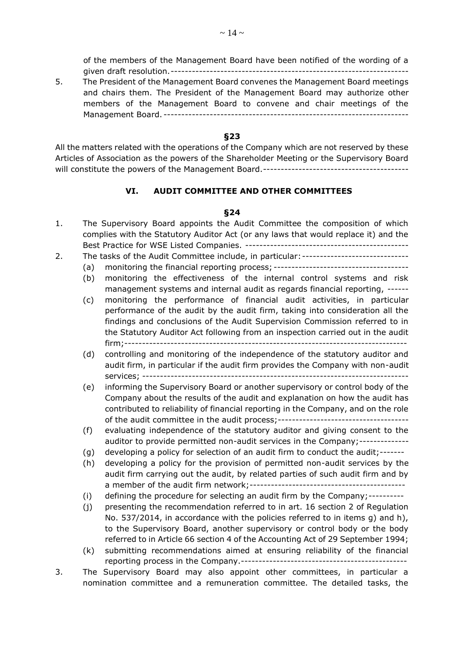of the members of the Management Board have been notified of the wording of a given draft resolution.-------------------------------------------------------------------

5. The President of the Management Board convenes the Management Board meetings and chairs them. The President of the Management Board may authorize other members of the Management Board to convene and chair meetings of the Management Board. ---------------------------------------------------------------------

### **§23**

All the matters related with the operations of the Company which are not reserved by these Articles of Association as the powers of the Shareholder Meeting or the Supervisory Board will constitute the powers of the Management Board.-----------------------------------------

## **VI. AUDIT COMMITTEE AND OTHER COMMITTEES**

- 1. The Supervisory Board appoints the Audit Committee the composition of which complies with the Statutory Auditor Act (or any laws that would replace it) and the Best Practice for WSE Listed Companies. ----------------------------------------------
- 2. The tasks of the Audit Committee include, in particular: -------------------------------
	- (a) monitoring the financial reporting process; --------------------------------------
	- (b) monitoring the effectiveness of the internal control systems and risk management systems and internal audit as regards financial reporting, ------
	- (c) monitoring the performance of financial audit activities, in particular performance of the audit by the audit firm, taking into consideration all the findings and conclusions of the Audit Supervision Commission referred to in the Statutory Auditor Act following from an inspection carried out in the audit firm;--------------------------------------------------------------------------------
	- (d) controlling and monitoring of the independence of the statutory auditor and audit firm, in particular if the audit firm provides the Company with non-audit services; ---------------------------------------------------------------------------
	- (e) informing the Supervisory Board or another supervisory or control body of the Company about the results of the audit and explanation on how the audit has contributed to reliability of financial reporting in the Company, and on the role of the audit committee in the audit process;-------------------------------------
	- (f) evaluating independence of the statutory auditor and giving consent to the auditor to provide permitted non-audit services in the Company;--------------
	- (g) developing a policy for selection of an audit firm to conduct the audit;-------
	- (h) developing a policy for the provision of permitted non-audit services by the audit firm carrying out the audit, by related parties of such audit firm and by a member of the audit firm network;--------------------------------------------
	- (i) defining the procedure for selecting an audit firm by the Company;----------
	- (j) presenting the recommendation referred to in art. 16 section 2 of Regulation No. 537/2014, in accordance with the policies referred to in items g) and h), to the Supervisory Board, another supervisory or control body or the body referred to in Article 66 section 4 of the Accounting Act of 29 September 1994;
	- (k) submitting recommendations aimed at ensuring reliability of the financial reporting process in the Company.-----------------------------------------------
- 3. The Supervisory Board may also appoint other committees, in particular a nomination committee and a remuneration committee. The detailed tasks, the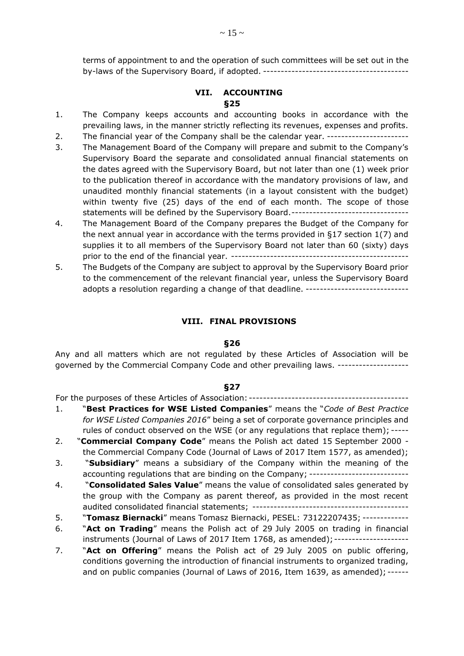terms of appointment to and the operation of such committees will be set out in the by-laws of the Supervisory Board, if adopted. -----------------------------------------

# **VII. ACCOUNTING §25**

- 1. The Company keeps accounts and accounting books in accordance with the prevailing laws, in the manner strictly reflecting its revenues, expenses and profits.
- 2. The financial year of the Company shall be the calendar year. ----------------------
- 3. The Management Board of the Company will prepare and submit to the Company's Supervisory Board the separate and consolidated annual financial statements on the dates agreed with the Supervisory Board, but not later than one (1) week prior to the publication thereof in accordance with the mandatory provisions of law, and unaudited monthly financial statements (in a layout consistent with the budget) within twenty five (25) days of the end of each month. The scope of those statements will be defined by the Supervisory Board.---------------------------------
- 4. The Management Board of the Company prepares the Budget of the Company for the next annual year in accordance with the terms provided in §17 section 1(7) and supplies it to all members of the Supervisory Board not later than 60 (sixty) days prior to the end of the financial year. --------------------------------------------------
- 5. The Budgets of the Company are subject to approval by the Supervisory Board prior to the commencement of the relevant financial year, unless the Supervisory Board adopts a resolution regarding a change of that deadline. -----------------------------

## **VIII. FINAL PROVISIONS**

### **§26**

Any and all matters which are not regulated by these Articles of Association will be governed by the Commercial Company Code and other prevailing laws. --------------------

# **§27**

For the purposes of these Articles of Association: ---------------------------------------------

- 1. "**Best Practices for WSE Listed Companies**" means the "*Code of Best Practice for WSE Listed Companies 2016*" being a set of corporate governance principles and rules of conduct observed on the WSE (or any regulations that replace them); -----
- 2. "**Commercial Company Code**" means the Polish act dated 15 September 2000 the Commercial Company Code (Journal of Laws of 2017 Item 1577, as amended);
- 3. "**Subsidiary**" means a subsidiary of the Company within the meaning of the accounting regulations that are binding on the Company; ----------------------------
- 4. "**Consolidated Sales Value**" means the value of consolidated sales generated by the group with the Company as parent thereof, as provided in the most recent audited consolidated financial statements; --------------------------------------------
- 5. "**Tomasz Biernacki**" means Tomasz Biernacki, PESEL: 73122207435; -------------
- 6. "**Act on Trading**" means the Polish act of 29 July 2005 on trading in financial instruments (Journal of Laws of 2017 Item 1768, as amended);---------------------
- 7. "**Act on Offering**" means the Polish act of 29 July 2005 on public offering, conditions governing the introduction of financial instruments to organized trading, and on public companies (Journal of Laws of 2016, Item 1639, as amended); ------